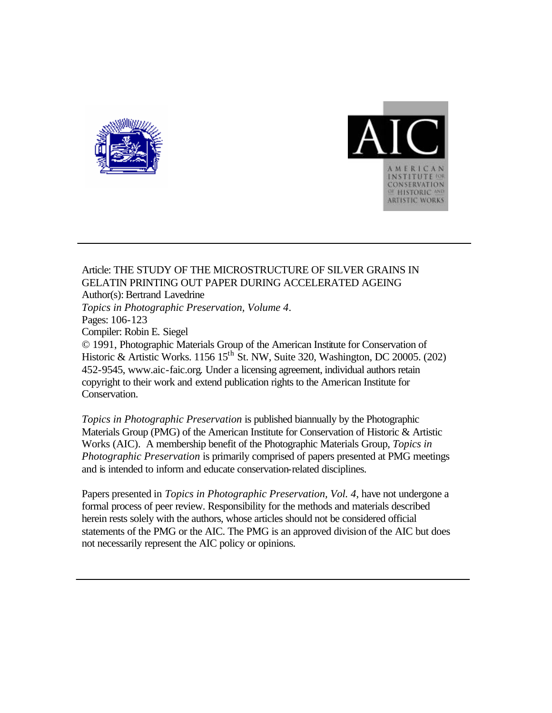



### Article: THE STUDY OF THE MICROSTRUCTURE OF SILVER GRAINS IN GELATIN PRINTING OUT PAPER DURING ACCELERATED AGEING Author(s): Bertrand Lavedrine *Topics in Photographic Preservation, Volume 4*. Pages: 106-123 Compiler: Robin E. Siegel © 1991, Photographic Materials Group of the American Institute for Conservation of Historic & Artistic Works. 1156 15<sup>th</sup> St. NW, Suite 320, Washington, DC 20005. (202) 452-9545, www.aic-faic.org. Under a licensing agreement, individual authors retain copyright to their work and extend publication rights to the American Institute for Conservation.

*Topics in Photographic Preservation* is published biannually by the Photographic Materials Group (PMG) of the American Institute for Conservation of Historic & Artistic Works (AIC). A membership benefit of the Photographic Materials Group, *Topics in Photographic Preservation* is primarily comprised of papers presented at PMG meetings and is intended to inform and educate conservation-related disciplines.

Papers presented in *Topics in Photographic Preservation, Vol. 4*, have not undergone a formal process of peer review. Responsibility for the methods and materials described herein rests solely with the authors, whose articles should not be considered official statements of the PMG or the AIC. The PMG is an approved division of the AIC but does not necessarily represent the AIC policy or opinions.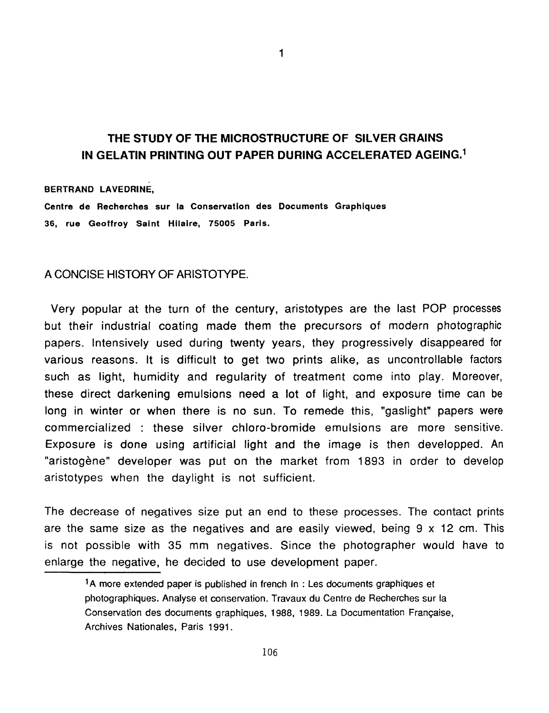## **THE STUDY OF THE MICROSTRUCTURE OF SILVER GRAINS IN GELATIN PRINTING OUT PAPER DURING ACCELERATED AGEING.'**

1

#### BERTRAND LAVEDRINE,

Centre de Recherches sur **la** Conservation des Documents Graphiques **36,** rue Geoffroy Saint Hilaire, *75005* Paris.

### A CONCISE HISTORY OF ARISTOTYPE.

Very popular at the turn of the century, aristotypes are the last POP processes but their industrial coating made them the precursors of modern photographic papers. Intensively used during twenty years, they progressively disappeared for various reasons. It is difficult to get two prints alike, as uncontrollable factors such as light, humidity and regularity of treatment come into play. Moreover, these direct darkening emulsions need a lot of light, and exposure time can be long in winter or when there is no sun. To remede this, "gaslight" papers were commercialized : these silver chloro-bromide emulsions are more sensitive. Exposure is done using artificial light and the image is then developped. **An**  "aristogène" developer was put on the market from 1893 in order to develop aristotypes when the daylight is not sufficient.

The decrease of negatives size put an end to these processes. The contact prints are the same size as the negatives and are easily viewed, being 9 **x** 12 cm. This is not possible with 35 mm negatives. Since the photographer would have to enlarge the negative, he decided to use development paper.

<sup>&</sup>lt;sup>1</sup>A more extended paper is published in french In : Les documents graphiques et photographiques. Analyse et conservation. Travaux du Centre de Recherches sur la Conservation des documents graphiques, 1988, 1989. La Documentation Franqaise, Archives Nationales, Paris 1991.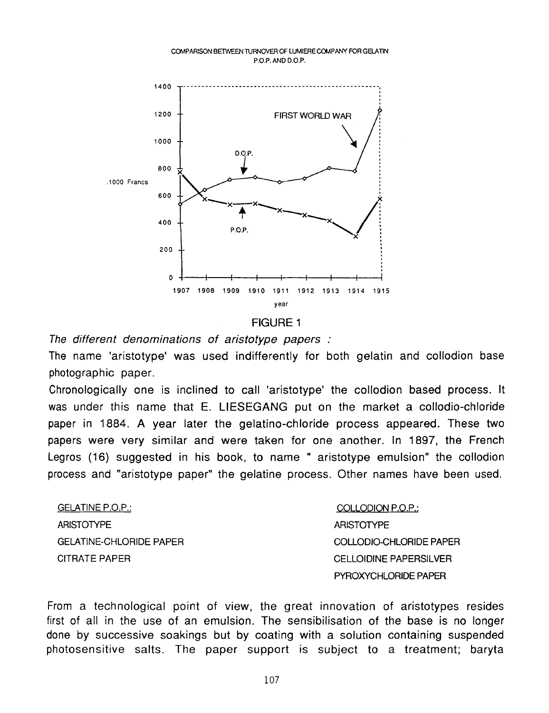#### COMPARISON BETWEEN TURNOVER OF LUMIERE COMPANY FOR GELATIN **P.O.P.** AND **D.O.P.**



#### FIGURE 1

*The different denominations of aristotype papers* :

The name 'aristotype' was used indifferently for both gelatin and collodion base photographic paper.

Chronologically one is inclined to call 'aristotype' the collodion based process. It was under this name that E. LIESEGANG put on the market a collodio-chloride paper in 1884. **A** year later the gelatino-chloride process appeared. These two papers were very similar and were taken for one another. In 1897, the French Legros (16) suggested in his book, to name " aristotype emulsion" the collodion process and "aristotype paper" the gelatine process. Other names have been used.

GELATINE P.O.P.: ARISTOTYPE GEIATINE-CHLORIDE PAPER CITRATE PAPER

COLLODION P.O.P.: ARISTOTYPE COLLODIO-CHLORIDE PAPER CELLOIDINE PAPERSILVER PYROXYCHLORIDE PAPER

From a technological point of view, the great innovation of aristotypes resides first of all in the use of an emulsion. The sensibilisation of the base is no longer done by successive soakings but by coating with a solution containing suspended photosensitive salts. The paper support is subject to a treatment; baryta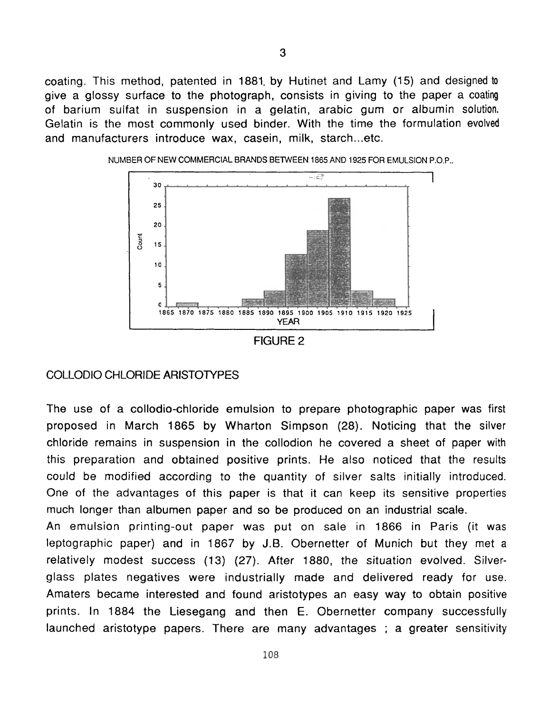coating. This method, patented in 1881, by Hutinet and Lamy (15) and designed to give a glossy surface to the photograph, consists in giving to the paper a coating of barium sulfat in suspension in a gelatin, arabic gum or albumin solution. Gelatin is the most commonly used binder. With the time the formulation evolved and manufacturers introduce wax, casein, milk, starch...etc.



NUMBER OF NEW COMMERCIAL BRANDS BETWEEN 1865 AND 1925 FOR EMULSION **P.O.P..** 

#### COLLODIO CHLORIDE ARISTOTYPES

The use of a collodio-chloride emulsion to prepare photographic paper was first proposed in March 1865 by Wharton Simpson (28). Noticing that the silver chloride remains in suspension in the collodion he covered a sheet of paper with this preparation and obtained positive prints. He also noticed that the results could be modified according to the quantity of silver salts initially introduced. One of the advantages of this paper is that it can keep its sensitive properties much longer than albumen paper and so be produced on an industrial scale.

An emulsion printing-out paper was put on sale in 1866 in Paris (it was leptographic paper) and in 1867 by J.B. Obernetter of Munich but they met a relatively modest success (13) (27). After 1880, the situation evolved. Silverglass plates negatives were industrially made and delivered ready for use. Amaters became interested and found aristotypes an easy way to obtain positive prints. In 1884 the Liesegang and then E. Obernetter company successfully launched aristotype papers. There are many advantages ; a greater sensitivity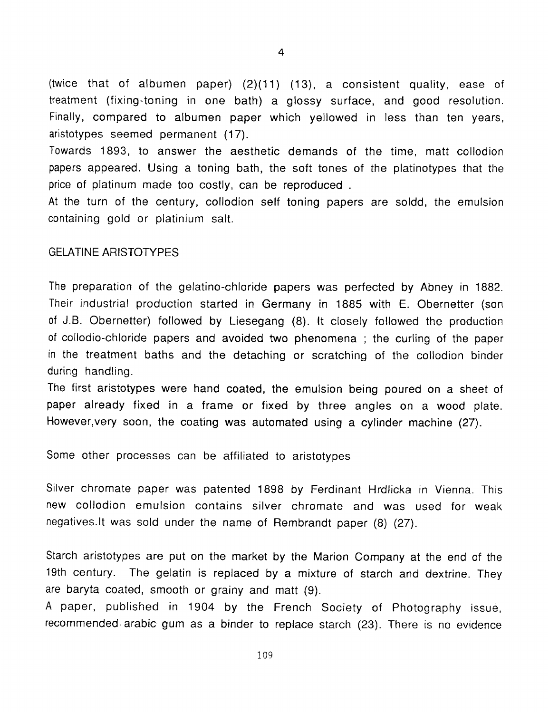(twice that of albumen paper) (2)(11) (13), a consistent quality, ease of treatment (fixing-toning in one bath) a glossy surface, and good resolution. Finally, compared to albumen paper which yellowed in less than ten years, aristotypes seemed permanent (17).

Towards 1893, to answer the aesthetic demands of the time, matt collodion papers appeared. Using a toning bath, the soft tones of the platinotypes that the price of platinum made too costly, can be reproduced .

**At** the turn of the century, collodion self toning papers are soldd, the emulsion containing gold or platinium salt.

#### **GELATINE ARISTOTYPES**

The preparation of the gelatino-chloride papers was perfected by Abney in 1882. Their industrial production started in Germany in 1885 with E. Obernetter (son of J.B. Obernetter) followed by Liesegang (8). it closely followed the production of collodio-chloride papers and avoided two phenomena ; the curling of the paper in the treatment baths and the detaching or scratching of the collodion binder during handling.

The first aristotypes were hand coated, the emulsion being poured on a sheet of paper already fixed in a frame or fixed by three angles on a wood plate. However,very soon, the coating was automated using a cylinder machine (27).

Some other processes can be affiliated to aristotypes

Silver chromate paper was patented 1898 by Ferdinant Hrdlicka in Vienna. This new collodion emulsion contains silver chromate and was used for weak negatives.lt was sold under the name of Rembrandt paper (8) (27).

Starch aristotypes are put on the market by the Marion Company at the end of the 19th century. The gelatin is replaced by a mixture of starch and dextrine. They are baryta coated, smooth or grainy and matt (9).

**A** paper, published in 1904 by the French Society of Photography issue, recommended.arabic gum as a binder to replace starch (23). There is no evidence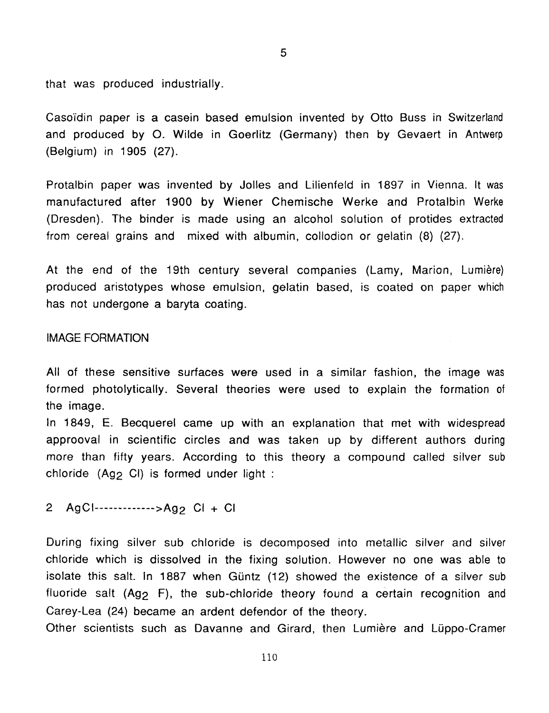that was produced industrially.

Casoïdin paper is a casein based emulsion invented by Otto Buss in Switzerland and produced by 0. Wilde in Goerlitz (Germany) then by Gevaert in Antwerp (Belgium) in 1905 (27).

Protalbin paper was invented by Jolles and Lilienfeld in 1897 in Vienna. It was manufactured after 1900 by Wiener Chemische Werke and Protalbin Werke (Dresden). The binder is made using an alcohol solution of protides extracted from cereal grains and mixed with albumin, collodion or gelatin (8) (27).

At the end of the 19th century several companies (Lamy, Marion, Lumière) produced aristotypes whose emulsion, gelatin based, is coated on paper which has not undergone a baryta coating.

#### IMAGE FORMATION

All of these sensitive surfaces were used in a similar fashion, the image was formed photolytically. Several theories were used to explain the formation of the image.

In 1849, E. Becquerel came up with an explanation that met with widespread approoval in scientific circles and was taken up by different authors during more than fifty years. According to this theory a compound called silver **sub**  chloride (Ag<sub>2</sub> CI) is formed under light :

AgCl-------------->Ag2 Cl + Cl  $2<sup>1</sup>$ 

During fixing silver sub chloride is decomposed into metallic silver and silver chloride which is dissolved in the fixing solution. However no one was able to isolate this salt. In 1887 when Güntz (12) showed the existence of a silver sub fluoride salt  $(Ag<sub>2</sub> F)$ , the sub-chloride theory found a certain recognition and Carey-Lea (24) became an ardent defendor of the theory.

Other scientists such as Davanne and Girard, then Lumiere and Luppo-Cramer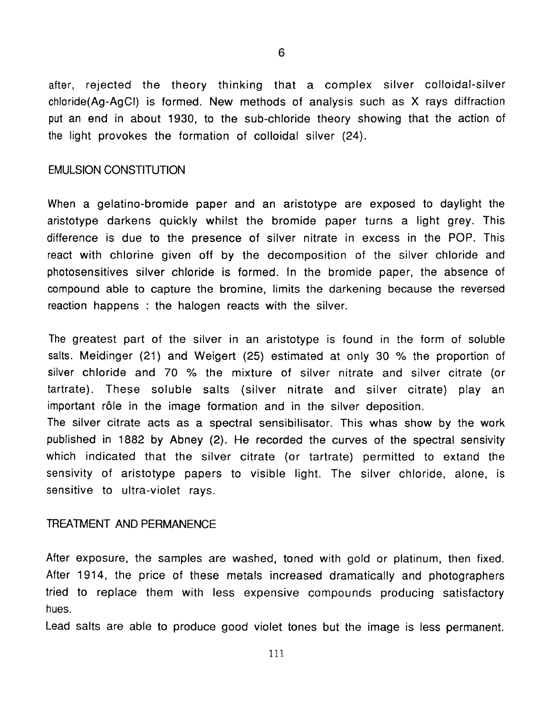after, rejected the theory thinking that a complex silver colloidal-silver chloride(Ag-AgCI) is formed. New methods of analysis such as X rays diffraction put an end in about 1930, to the sub-chloride theory showing that the action of the light provokes the formation of colloidal silver (24).

### EMULSION CONSTITUTION

When a gelatino-bromide paper and an aristotype are exposed to daylight the aristotype darkens quickly whilst the bromide paper turns a light grey. This difference is due to the presence of silver nitrate in excess in the POP. This react with chlorine given off by the decomposition of the silver chloride and photosensitives silver chloride is formed. In the bromide paper, the absence of compound able to capture the bromine, limits the darkening because the reversed reaction happens : the halogen reacts with the silver.

The greatest part of the silver in an aristotype is found in the form of soluble salts. Meidinger (21) and Weigert (25) estimated at only 30 % the proportion of silver chloride and 70 *Yo* the mixture of silver nitrate and silver citrate (or tartrate). These soluble salts (silver nitrate and silver citrate) play an important r61e in the image formation and in the silver deposition. The silver citrate acts as a spectral sensibilisator. This whas show by the work published in 1882 by Abney (2). He recorded the curves of the spectral sensivity which indicated that the silver citrate (or tartrate) permitted to extand the sensivity of aristotype papers to visible light. The silver chloride, alone, is

### TREATMENT AND PERMANENCE

sensitive to ultra-violet rays.

After exposure, the samples are washed, toned with gold or platinum, then fixed. After 1914, the price of these metals increased dramatically and photographers tried to replace them with less expensive compounds producing satisfactory hues.

Lead salts are able to produce good violet tones but the image is less permanent.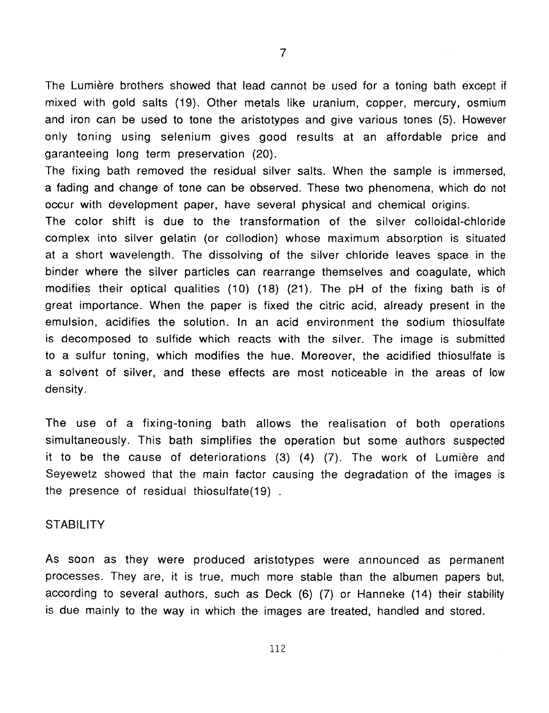The Lumière brothers showed that lead cannot be used for a toning bath except if mixed with gold salts (19). Other metals like uranium, copper, mercury, osmium and iron can be used to tone the aristotypes and give various tones (5). However only toning using selenium gives good results at an affordable price and garanteeing long term preservation (20).

The fixing bath removed the residual silver salts. When the sample is immersed, a fading and change of tone can be observed. These two phenomena, which do not occur with development paper, have several physical and chemical origins.

The color shift is due to the transformation of the silver colloidal-chloride complex into silver gelatin (or collodion) whose maximum absorption is situated at a short wavelength. The dissolving of the silver chloride leaves space in the binder where the silver particles can rearrange themselves and coagulate, which modifies their optical qualities (10) (18) (21). The pH of the fixing bath is of great importance. When the paper is fixed the citric acid, already present in the emulsion, acidifies the solution. In an acid environment the sodium thiosulfate is decomposed to sulfide which reacts with the silver. The image is submitted to a sulfur toning, which modifies the hue. Moreover, the acidified thiosulfate is a solvent of silver, and these effects are most noticeable in the areas of low density.

The use of a fixing-toning bath allows the realisation of both operations simultaneously. This bath simplifies the operation but some authors suspected it to be the cause of deteriorations (3) **(4)** (7). The work of Lumiere and Seyewetz showed that the main factor causing the degradation of the images is the presence of residual thiosulfate $(19)$ .

#### **STABILITY**

**As** soon as they were produced aristotypes were announced as permanent processes. They are, it is true, much more stable than the albumen papers but, according to several authors, such as Deck (6) (7) or Hanneke (14) their stability is due mainly to the way in which the images are treated, handled and stored.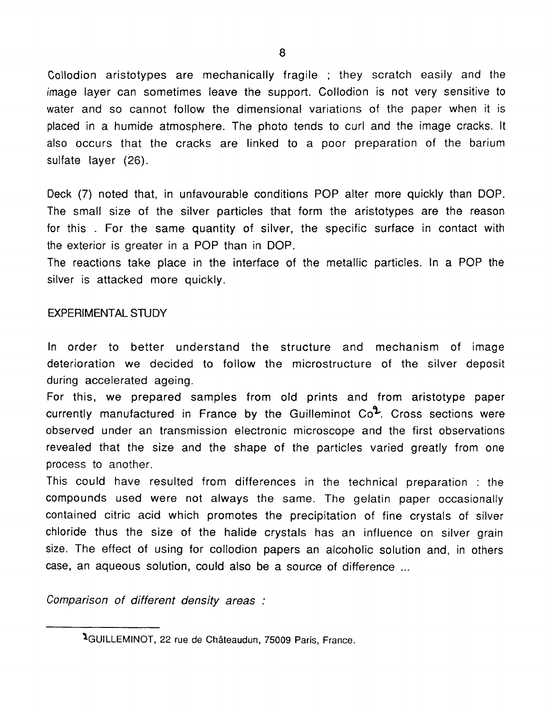Collodion aristotypes are mechanically fragile ; they scratch easily and the image layer can sometimes leave the support. Collodion is not very sensitive to water and so cannot follow the dimensional variations of the paper when it is placed in a humide atmosphere. The photo tends to curl and the image cracks. It also occurs that the cracks are linked to a poor preparation of the barium sulfate layer (26).

Deck (7) noted that, in unfavourable conditions POP alter more quickly than DOP. The small size of the silver particles that form the aristotypes are the reason for this . For the same quantity of silver, the specific surface in contact with the exterior is greater in a POP than in DOP.

The reactions take place in the interface of the metallic particles. In a POP the silver is attacked more quickly.

### EXPERIMENTAL STUDY

In order to better understand the structure and mechanism of image deterioration we decided to follow the microstructure of the silver deposit during accelerated ageing.

For this, we prepared samples from old prints and from aristotype paper currently manufactured in France by the Guilleminot Co<sup>2</sup>. Cross sections were observed under an transmission electronic microscope and the first observations revealed that the size and the shape of the particles varied greatly from one process to another.

This could have resulted from differences in the technical preparation : the compounds used were not always the same. The gelatin paper occasionally contained citric acid which promotes the precipitation of fine crystals *of* silver chloride thus the size of the halide crystals has an influence on silver grain size. The effect of using for collodion papers an alcoholic solution and, in others case, an aqueous solution, could also be a source of difference ...

*Comparison of different density areas* :

<sup>&</sup>lt;sup>2</sup>GUILLEMINOT, 22 rue de Châteaudun, 75009 Paris, France.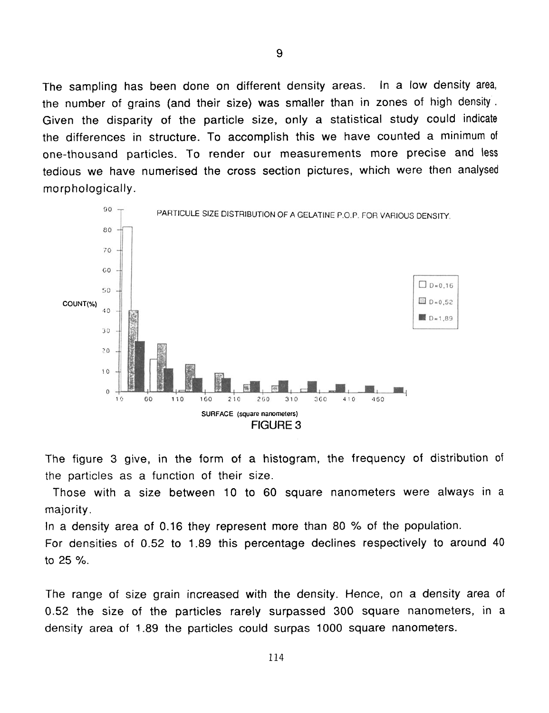The sampling has been done on different density areas. In a low density area, the number of grains (and their size) was smaller than in zones of high density. Given the disparity of the particle size, only a statistical study could indicate the differences in structure. To accomplish this we have counted a minimum of one-thousand particles. To render our measurements more precise and less tedious we have numerised the cross section pictures, which were then analysed morphologically.



The figure 3 give, in the form of a histogram, the frequency of distribution of the particles as a function of their size.

Those with a size between 10 to 60 square nanometers were always in a majority.

In a density area of 0.16 they represent more than 80 % of the population.

For densities of 0.52 to 1.89 this percentage declines respectively to around 40 to 25 %.

The range of size grain increased with the density. Hence, on a density area of 0.52 the size of the particles rarely surpassed 300 square nanometers, in a density area of 1.89 the particles could surpas 1000 square nanometers.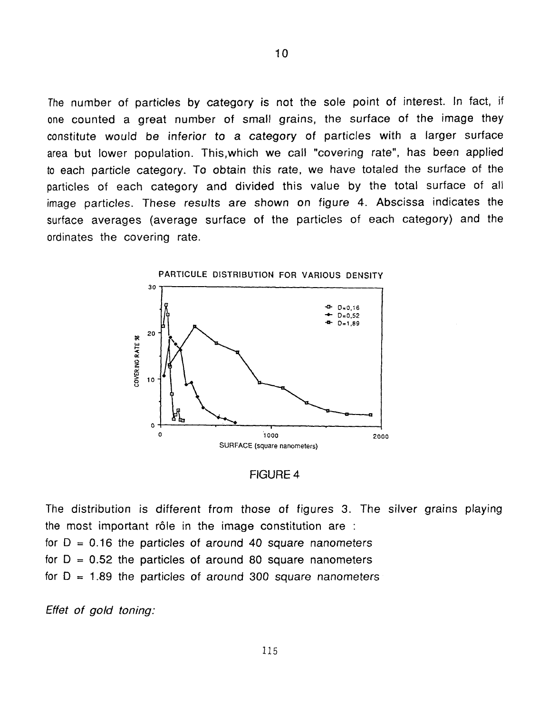The number of particles by category is not the sole point of interest. In fact, if one counted a great number of small grains, the surface of the image they constitute would be inferior to a category of particles with a larger surface area but lower population. This,which we call "covering rate", has been applied to each particle category. To obtain this rate, we have totaled the surface of the particles of each category and divided this value by the total surface of all image particles. These results are shown on figure **4.** Abscissa indicates the surface averages (average surface of the particles of each category) and the ordinates the covering rate. To trive the sole point of interest. In fact, if<br>
technology of a category of particles with a larger surface<br>
to inferior to a category of particles with a larger surface<br>
budition. This which we call "covering rate", has





The distribution is different from those of figures **3.** The silver grains playing **the** most important r61e in the image constitution are : for  $D = 0.16$  the particles of around 40 square nanometers for  $D = 0.52$  the particles of around 80 square nanometers for  $D = 1.89$  the particles of around 300 square nanometers

*Effet of gold toning:*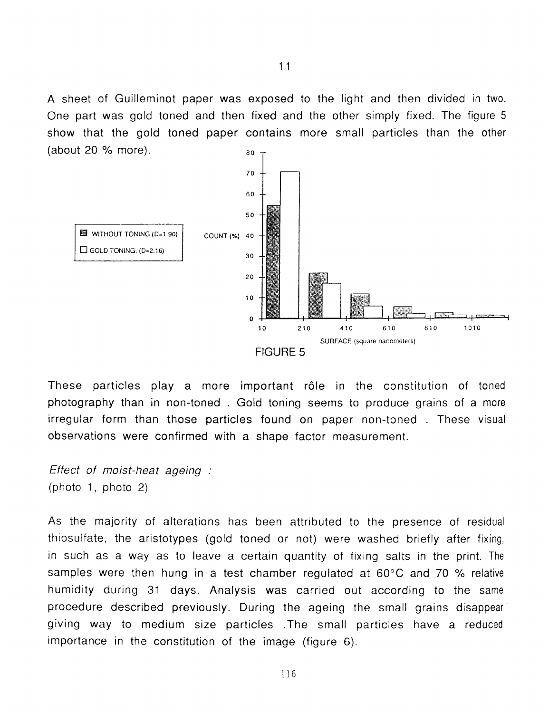A sheet of Guilleminot paper was exposed to the light and then divided in two. One part was gold toned and then fixed and the other simply fixed. The figure 5 show that the gold toned paper contains more small particles than the other (about 20 % more). 80



These particles play a more important rôle in the constitution of toned photography than in non-toned . Gold toning seems to produce grains of a more irregular form than those particles found on paper non-toned . These visual observations were confirmed with a shape factor measurement.

*Effect of moist-heat ageing* : (photo 1, photo 2)

**As** the majority of alterations has been attributed to the presence of residual thiosulfate, the aristotypes (gold toned or not) were washed briefly after fixing, in such as a way as to leave a certain quantity of fixing salts in the print. The samples were then hung in a test chamber regulated at 60°C and 70 % relative humidity during 31 days. Analysis was carried out according *to* the same procedure described previously. During the ageing the small grains disappear giving way to medium size particles .The small particles have a reduced importance in the constitution of the image (figure 6).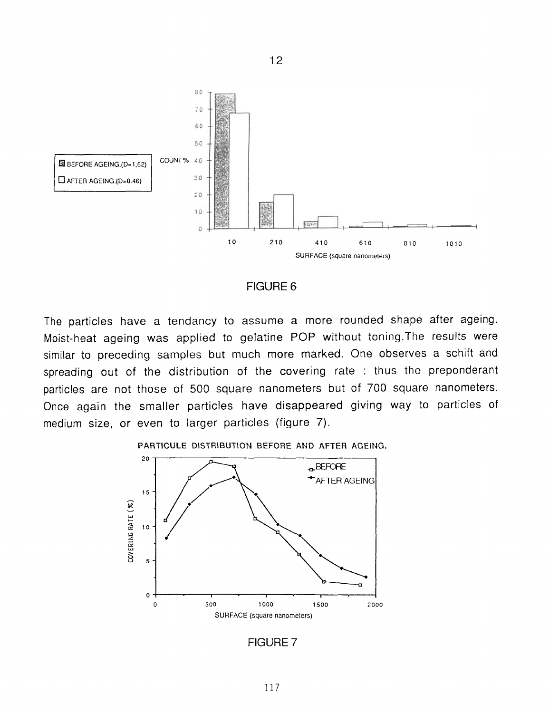

12

### FIGURE 6

The particles have a tendancy to assume a more rounded shape after ageing. Moist-heat ageing was applied to gelatine POP without toning.The results were similar to preceding samples but much more marked. One observes a schift and spreading out of the distribution of the covering rate : thus the preponderant particles are not those of 500 square nanometers but of 700 square nanometers. Once again the smaller particles have disappeared giving way to particles of medium size, or even to larger particles (figure 7).

#### **PARTICULE** DISTRIBUTION BEFORE **AND AFTER** AGEING.



FIGURE *7*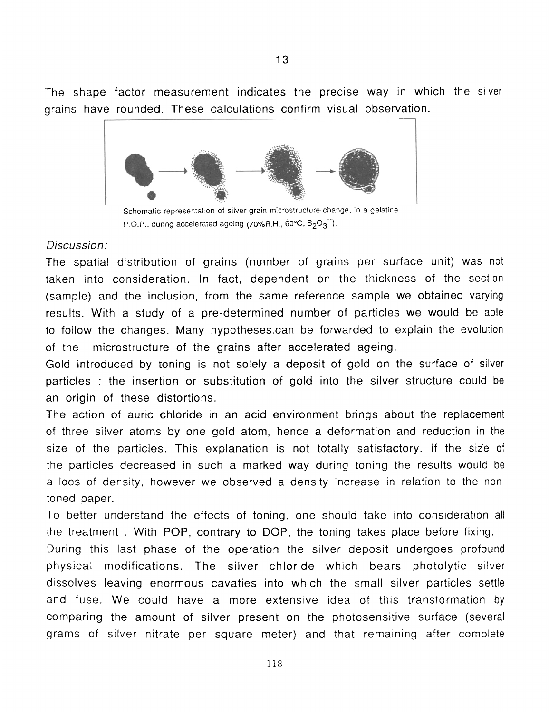The shape factor measurement indicates the precise way in which the silver grains have rounded. These calculations confirm visual observation.

13



Schematic representation of silver grain microstructure change, in a gelatine P.O.P., during accelerated ageing (70%R.H.,  $60^{\circ}$ C,  $S_2O_3^{-1}$ ).

### *Discussion* :

The spatial distribution of grains (number of grains per surface unit) was not taken into consideration. In fact, dependent on the thickness of the section (sample) and the inclusion, from the same reference sample we obtained varying results. With a study of a pre-determined number of particles we would be able to follow the changes. Many hypotheses.can be forwarded to explain the evolution of the microstructure of the grains after accelerated ageing.

Gold introduced by toning is not solely a deposit of gold on the surface of silver particles : the insertion or substitution of gold into the silver structure could be an origin of these distortions.

The action of auric chloride in an acid environment brings about the replacement of three silver atoms by one gold atom, hence a deformation and reduction in the size of the particles. This explanation is not totally satisfactory. If the size of the particles decreased in such a marked way during toning the results would be a 100s of density, however we observed a density increase in relation to the nontoned paper.

To better understand the effects of toning, one should take into consideration all the treatment . With POP, contrary to DOP, the toning takes place before fixing.

During this last phase of the operation the silver deposit undergoes profound physical modifications. The silver chloride which bears photolytic silver dissolves leaving enormous cavaties into which the small silver particles settle and fuse. We could have a more extensive idea of this transformation by comparing the amount of silver present on the photosensitive surface (several grams of silver nitrate per square meter) and that remaining after complete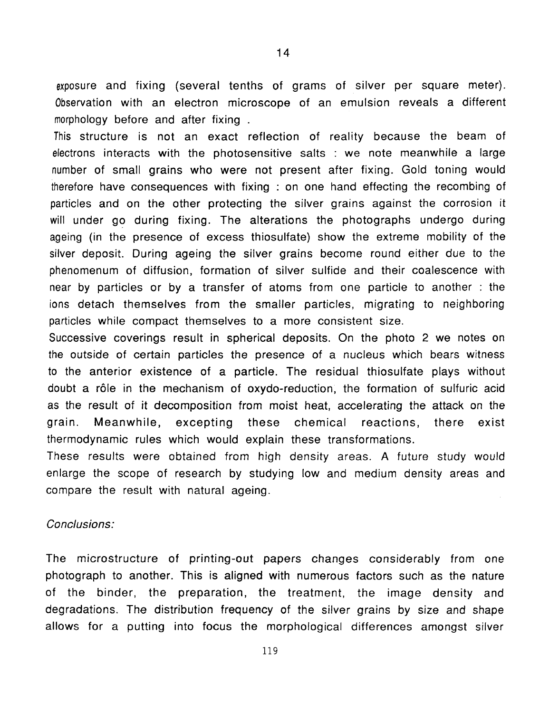exposure and fixing (several tenths of grams of silver per square meter). Observation with an electron microscope of an emulsion reveals a different morphology before and after fixing .

This structure is not an exact reflection of reality because the beam of electrons interacts with the photosensitive salts : we note meanwhile a large number of small grains who were not present after fixing. Gold toning would therefore have consequences with fixing : on one hand effecting the recombing of particles and on the other protecting the silver grains against the corrosion it will under go during fixing. The alterations the photographs undergo during ageing (in the presence of excess thiosulfate) show the extreme mobility of the silver deposit. During ageing the silver grains become round either due to the phenomenum of diffusion, formation of silver sulfide and their coalescence with near by particles or by a transfer of atoms from one particle to another : the ions detach themselves from the smaller particles, migrating to neighboring particles while compact themselves to a more consistent size.

Successive coverings result in spherical deposits. On the photo 2 we notes on the outside of certain particles the presence of a nucleus which bears witness to the anterior existence of a particle. The residual thiosulfate plays without doubt a r61e in the mechanism of oxydo-reduction, the formation of sulfuric acid as the result of it decomposition from moist heat, accelerating the attack on the grain. Meanwhile, excepting these chemical reactions, there exist thermodynamic rules which would explain these transformations.

These results were obtained from high density areas. **A** future study would enlarge the scope of research by studying low and medium density areas and compare the result with natural ageing.

### *Conclusions:*

The microstructure of printing-out papers changes considerably from one photograph to another. This is aligned with numerous factors such as the nature of the binder, the preparation, the treatment, the image density and degradations. The distribution frequency of the silver grains by size and shape allows for a putting into focus the morphological differences amongst silver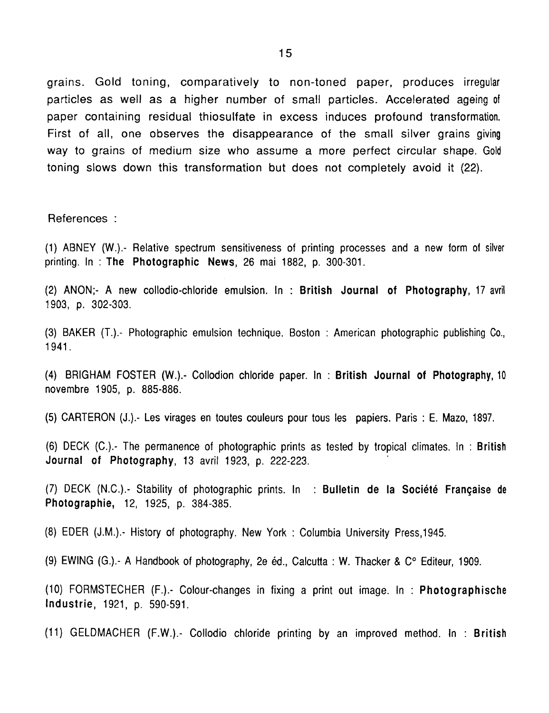grains. Gold toning, comparatively to non-toned paper, produces irregular particles as well as a higher number of small particles. Accelerated ageing of paper containing residual thiosulfate in excess induces profound transformation. First of all, one observes the disappearance of the small silver grains giving way to grains of medium size who assume a more perfect circular shape. Gold toning slows down this transformation but does not completely avoid it (22).

References :

(1) ABNEY (W.).- Relative spectrum sensitiveness of printing processes and a new form of silver printing. In : **The Photographic News,** 26 mai 1882, p. 300-301.

(2) ANON;- A new collodio-chloride emulsion. In : **British Journal of Photography,** 17 avril 1903, p. 302-303.

(3) BAKER (T.).- Photographic emulsion technique. Boston : American photographic publishing Co., 1941.

**(4)** BRIGHAM FOSTER **(W.).-** Collodion chloride paper. In : **British Journal of Photography,** 10 novembre 1905, p. 885-886.

(5) CARTERON (J.).- Les virages en toutes couleurs pour tous les papiers. Paris : E. Mazo, 1897.

(6) DECK (C.).- The permanence of photographic prints as tested by tropical climates. In : **British Journal of Photography,** 13 avril 1923, p. 222-223.

(7) DECK (N.C.).- Stability of photographic prints. In : **Bulletin de la Societe Franqaise de Photographie,** 12, 1925, p. 384-385.

(8) EDER (J.M.).- History of photography. New York : Columbia University Press,1945.

(9) EWING (G.).- **A** Handbook of photography, 2e ed., Calcutta : **W.** Thacker & **C"** Editeur, 1909.

(10) FORMSTECHER (F.).- Colour-changes in fixing a print out image. In : **Photographische Industrie,** 1921, p. 590-591.

(11) GELDMACHER (F.W.).- Collodio chloride printing by an improved method. In : **British**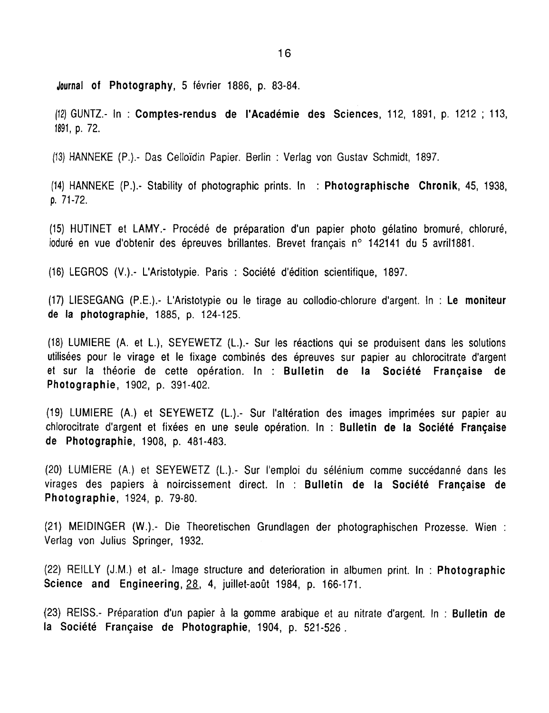**Journal of Photography, 5** fevrier 1886, p. 83-84.

**(12)** GUNTZ.- In : **Comptes-rendus de I'Academie des Sciences,** 112, 1891, p. 1212 ; 113, 1891, p. 72.

**(13)** HANNEKE (P.).- Das Celloidin Papier. Berlin : Verlag von Gustav Schmidt, 1897.

(14) HANNEKE (P.).- Stability of photographic prints. In : **Photographische Chronik,** 45, 1938, **p.** 71-72.

(15) HUTINET et LAMY.- Procede de preparation d'un papier photo gelatino bromure, chlorure, ioduré en vue d'obtenir des épreuves brillantes. Brevet français n° 142141 du 5 avril1881.

(16) LEGROS (V.).- L'Aristotypie. Paris : Societe d'edition scientifique, 1897

(17) LIESEGANG (P.E.),- L'Aristotypie ou le tirage au collodio-chlorure d'argent. In : **Le moniteur de la photographie,** 1885, p. 124-125.

(18) LUMIERE (A. et L.), SEYEWETZ (L.).- Sur les reactions qui se produisent dans les solutions utilisées pour le virage et le fixage combinés des épreuves sur papier au chlorocitrate d'argent et sur la theorie de cette operation. In : **Bulletin de la Societe Franqaise de Photographie,** 1902, p. 391-402.

(19) LUMIERE (A.) et SEYEWETZ (L.).- Sur I'alteration des images imprimees sur papier au chlorocitrate d'argent et fixees en une seule operation. In : **Bulletin de la Societe Franqaise de Photographie,** 1908, p. 481-483.

(20) LUMIERE **(A.)** et SEYEWETZ (L.).- Sur I'emploi du selenium comme succedanne dans les virages des papiers a noircissement direct. In : **Bulletin de la Societe Franqaise de Photographie,** 1924, p. 79-80.

(21) MElDlNGER **(W.).-** Die Theoretischen Grundlagen der photographischen Prozesse. Wien : Verlag von Julius Springer, 1932.

(22) RElLbY (J.M.) et al.- Image structure and deterioration in albumen print. In : **Photographic Science and Engineering, 28, 4, juillet-août 1984, p. 166-171.** 

(23) REISS.- Preparation d'un papier a la gomme arabique et au nitrate d'argent. In : **Bulletin de la Societe Franqaise de Photographie,** 1904, p. 521-526.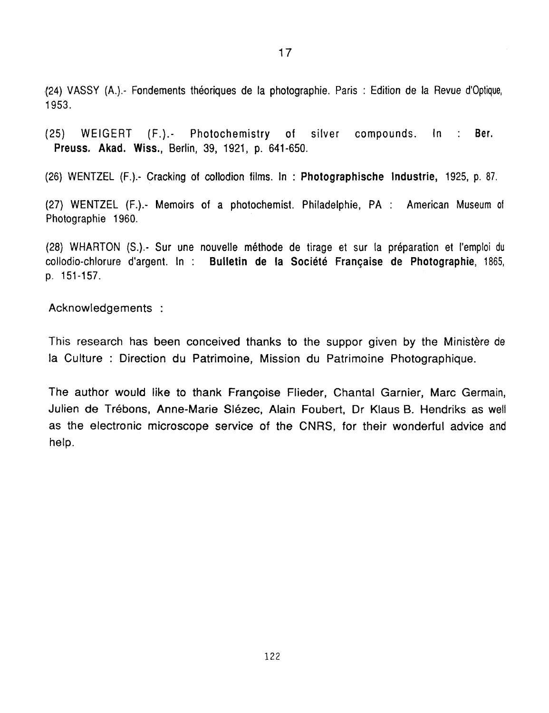(24) VASSY (A.).- Fondements theoriques de la photographie. Paris : Edition de la Revue d'optique, 1953.

(25) WEIGERT **(F.).-** Photochemistry of silver compounds. In : Ber. **Preuss. Akad. Wiss.,** Berlin, **39,** 1921, p. 641-650.

(26) WENTZEL (F.).- Cracking of collodion films. In : **Photographische Industrie,** 1925, p. 87.

(27) WENTZEL **(F.).-** Memoirs of a photochemist. Philadelphie, **PA** : American Museum of Photographie 1960.

(28) WHARTON (S+- Sur une nouvelle methode de tirage et sur la preparation et I'emploi **du**  collodio-chlorure d'argent. In : **Bulletin de la Societe Franqaise de Photographie,** 1865, **p.** 151-157.

Acknowledgements :

This research has been conceived thanks to the suppor given by the Ministère de la Culture : Direction du Patrimoine, Mission du Patrimoine Photographique.

The author would like to thank Franqoise Flieder, Chantal Garnier, Marc Germain, Julien de Trebons, Anne-Marie Slezec, Alain Foubert, Dr Klaus **6.** Hendriks as well as the electronic microscope service of the CNRS, for their wonderful advice and help.